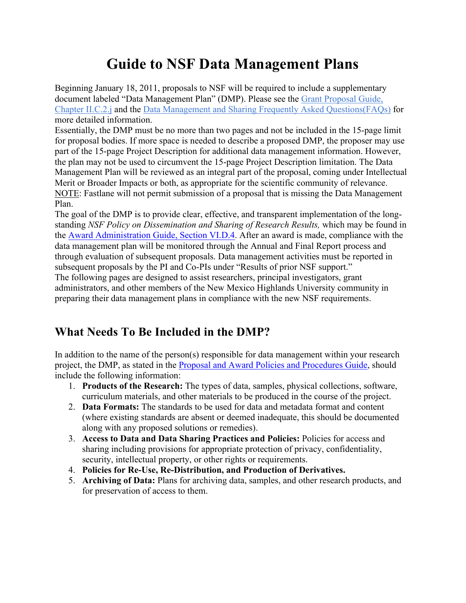# **Guide to NSF Data Management Plans**

Beginning January 18, 2011, proposals to NSF will be required to include a supplementary document labeled "Data Management Plan" (DMP). Please see the Grant Proposal Guide, Chapter II.C.2.j and the Data Management and Sharing Frequently Asked Questions(FAQs) for more detailed information.

Essentially, the DMP must be no more than two pages and not be included in the 15-page limit for proposal bodies. If more space is needed to describe a proposed DMP, the proposer may use part of the 15-page Project Description for additional data management information. However, the plan may not be used to circumvent the 15-page Project Description limitation. The Data Management Plan will be reviewed as an integral part of the proposal, coming under Intellectual Merit or Broader Impacts or both, as appropriate for the scientific community of relevance. NOTE: Fastlane will not permit submission of a proposal that is missing the Data Management Plan.

The goal of the DMP is to provide clear, effective, and transparent implementation of the longstanding *NSF Policy on Dissemination and Sharing of Research Results,* which may be found in the Award Administration Guide, Section VI.D.4. After an award is made, compliance with the data management plan will be monitored through the Annual and Final Report process and through evaluation of subsequent proposals. Data management activities must be reported in subsequent proposals by the PI and Co-PIs under "Results of prior NSF support." The following pages are designed to assist researchers, principal investigators, grant administrators, and other members of the New Mexico Highlands University community in preparing their data management plans in compliance with the new NSF requirements.

# **What Needs To Be Included in the DMP?**

In addition to the name of the person(s) responsible for data management within your research project, the DMP, as stated in the Proposal and Award Policies and Procedures Guide, should include the following information:

- 1. **Products of the Research:** The types of data, samples, physical collections, software, curriculum materials, and other materials to be produced in the course of the project.
- 2. **Data Formats:** The standards to be used for data and metadata format and content (where existing standards are absent or deemed inadequate, this should be documented along with any proposed solutions or remedies).
- 3. **Access to Data and Data Sharing Practices and Policies:** Policies for access and sharing including provisions for appropriate protection of privacy, confidentiality, security, intellectual property, or other rights or requirements.
- 4. **Policies for Re-Use, Re-Distribution, and Production of Derivatives.**
- 5. **Archiving of Data:** Plans for archiving data, samples, and other research products, and for preservation of access to them.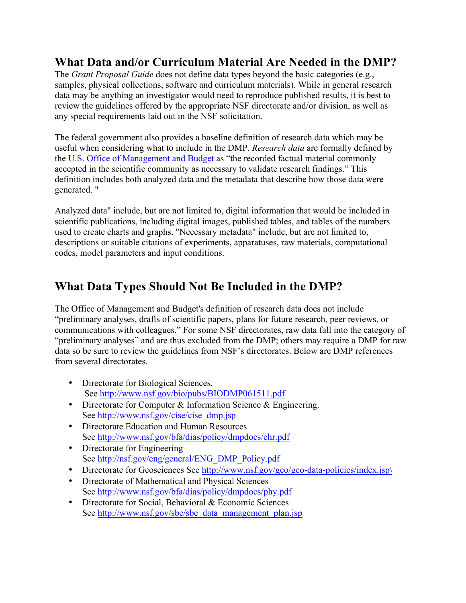### **What Data and/or Curriculum Material Are Needed in the DMP?**

The *Grant Proposal Guide* does not define data types beyond the basic categories (e.g., samples, physical collections, software and curriculum materials). While in general research data may be anything an investigator would need to reproduce published results, it is best to review the guidelines offered by the appropriate NSF directorate and/or division, as well as any special requirements laid out in the NSF solicitation.

The federal government also provides a baseline definition of research data which may be useful when considering what to include in the DMP. *Research data* are formally defined by the U.S. Office of Management and Budget as "the recorded factual material commonly accepted in the scientific community as necessary to validate research findings." This definition includes both analyzed data and the metadata that describe how those data were generated. "

Analyzed data" include, but are not limited to, digital information that would be included in scientific publications, including digital images, published tables, and tables of the numbers used to create charts and graphs. "Necessary metadata" include, but are not limited to, descriptions or suitable citations of experiments, apparatuses, raw materials, computational codes, model parameters and input conditions.

# **What Data Types Should Not Be Included in the DMP?**

The Office of Management and Budget's definition of research data does not include "preliminary analyses, drafts of scientific papers, plans for future research, peer reviews, or communications with colleagues." For some NSF directorates, raw data fall into the category of "preliminary analyses" and are thus excluded from the DMP; others may require a DMP for raw data so be sure to review the guidelines from NSF's directorates. Below are DMP references from several directorates.

- Directorate for Biological Sciences. See http://www.nsf.gov/bio/pubs/BIODMP061511.pdf
- Directorate for Computer & Information Science & Engineering. See http://www.nsf.gov/cise/cise\_dmp.jsp
- Directorate Education and Human Resources See http://www.nsf.gov/bfa/dias/policy/dmpdocs/ehr.pdf
- Directorate for Engineering See http://nsf.gov/eng/general/ENG\_DMP\_Policy.pdf
- Directorate for Geosciences See http://www.nsf.gov/geo/geo-data-policies/index.jsp\
- Directorate of Mathematical and Physical Sciences See http://www.nsf.gov/bfa/dias/policy/dmpdocs/phy.pdf
- Directorate for Social, Behavioral & Economic Sciences See http://www.nsf.gov/sbe/sbe\_data\_management\_plan.jsp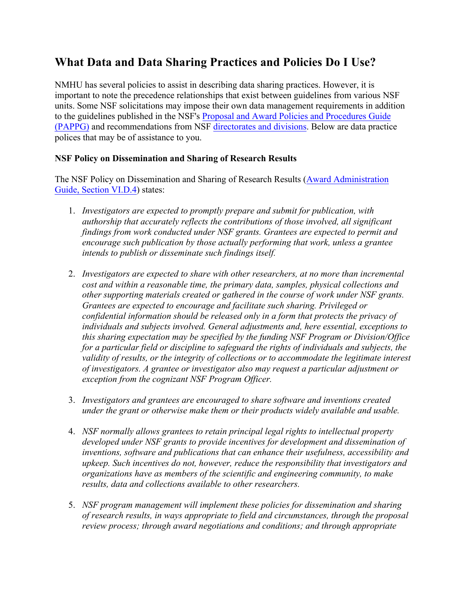### **What Data and Data Sharing Practices and Policies Do I Use?**

NMHU has several policies to assist in describing data sharing practices. However, it is important to note the precedence relationships that exist between guidelines from various NSF units. Some NSF solicitations may impose their own data management requirements in addition to the guidelines published in the NSF's Proposal and Award Policies and Procedures Guide (PAPPG) and recommendations from NSF directorates and divisions. Below are data practice polices that may be of assistance to you.

#### **NSF Policy on Dissemination and Sharing of Research Results**

The NSF Policy on Dissemination and Sharing of Research Results (Award Administration Guide, Section VI.D.4) states:

- 1. *Investigators are expected to promptly prepare and submit for publication, with authorship that accurately reflects the contributions of those involved, all significant findings from work conducted under NSF grants. Grantees are expected to permit and encourage such publication by those actually performing that work, unless a grantee intends to publish or disseminate such findings itself.*
- 2. *Investigators are expected to share with other researchers, at no more than incremental cost and within a reasonable time, the primary data, samples, physical collections and other supporting materials created or gathered in the course of work under NSF grants. Grantees are expected to encourage and facilitate such sharing. Privileged or confidential information should be released only in a form that protects the privacy of individuals and subjects involved. General adjustments and, here essential, exceptions to this sharing expectation may be specified by the funding NSF Program or Division/Office for a particular field or discipline to safeguard the rights of individuals and subjects, the validity of results, or the integrity of collections or to accommodate the legitimate interest of investigators. A grantee or investigator also may request a particular adjustment or exception from the cognizant NSF Program Officer.*
- 3. *Investigators and grantees are encouraged to share software and inventions created under the grant or otherwise make them or their products widely available and usable.*
- 4. *NSF normally allows grantees to retain principal legal rights to intellectual property developed under NSF grants to provide incentives for development and dissemination of inventions, software and publications that can enhance their usefulness, accessibility and upkeep. Such incentives do not, however, reduce the responsibility that investigators and organizations have as members of the scientific and engineering community, to make results, data and collections available to other researchers.*
- 5. *NSF program management will implement these policies for dissemination and sharing of research results, in ways appropriate to field and circumstances, through the proposal review process; through award negotiations and conditions; and through appropriate*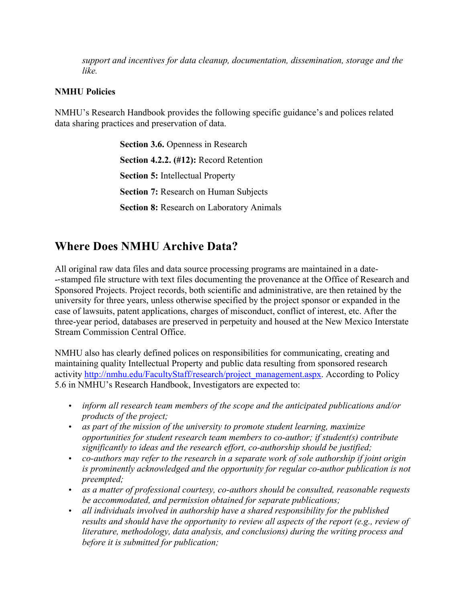*support and incentives for data cleanup, documentation, dissemination, storage and the like.*

#### **NMHU Policies**

NMHU's Research Handbook provides the following specific guidance's and polices related data sharing practices and preservation of data.

> **Section 3.6.** Openness in Research **Section 4.2.2. (#12):** Record Retention **Section 5:** Intellectual Property **Section 7:** Research on Human Subjects **Section 8:** Research on Laboratory Animals

# **Where Does NMHU Archive Data?**

All original raw data files and data source processing programs are maintained in a date- --stamped file structure with text files documenting the provenance at the Office of Research and Sponsored Projects. Project records, both scientific and administrative, are then retained by the university for three years, unless otherwise specified by the project sponsor or expanded in the case of lawsuits, patent applications, charges of misconduct, conflict of interest, etc. After the three-year period, databases are preserved in perpetuity and housed at the New Mexico Interstate Stream Commission Central Office.

NMHU also has clearly defined polices on responsibilities for communicating, creating and maintaining quality Intellectual Property and public data resulting from sponsored research activity http://nmhu.edu/FacultyStaff/research/project\_management.aspx. According to Policy 5.6 in NMHU's Research Handbook, Investigators are expected to:

- *inform all research team members of the scope and the anticipated publications and/or products of the project;*
- *as part of the mission of the university to promote student learning, maximize opportunities for student research team members to co-author; if student(s) contribute significantly to ideas and the research effort, co-authorship should be justified;*
- *co-authors may refer to the research in a separate work of sole authorship if joint origin is prominently acknowledged and the opportunity for regular co-author publication is not preempted;*
- *as a matter of professional courtesy, co-authors should be consulted, reasonable requests be accommodated, and permission obtained for separate publications;*
- *all individuals involved in authorship have a shared responsibility for the published results and should have the opportunity to review all aspects of the report (e.g., review of literature, methodology, data analysis, and conclusions) during the writing process and before it is submitted for publication;*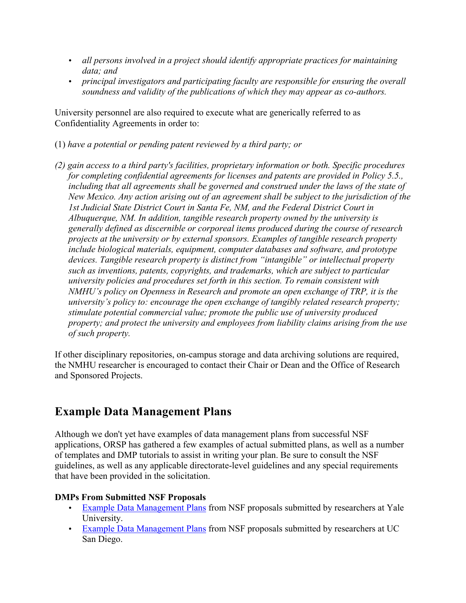- *all persons involved in a project should identify appropriate practices for maintaining data; and*
- *principal investigators and participating faculty are responsible for ensuring the overall soundness and validity of the publications of which they may appear as co-authors.*

University personnel are also required to execute what are generically referred to as Confidentiality Agreements in order to:

- (1) *have a potential or pending patent reviewed by a third party; or*
- *(2) gain access to a third party's facilities, proprietary information or both. Specific procedures for completing confidential agreements for licenses and patents are provided in Policy 5.5., including that all agreements shall be governed and construed under the laws of the state of New Mexico. Any action arising out of an agreement shall be subject to the jurisdiction of the 1st Judicial State District Court in Santa Fe, NM, and the Federal District Court in Albuquerque, NM. In addition, tangible research property owned by the university is generally defined as discernible or corporeal items produced during the course of research projects at the university or by external sponsors. Examples of tangible research property include biological materials, equipment, computer databases and software, and prototype devices. Tangible research property is distinct from "intangible" or intellectual property such as inventions, patents, copyrights, and trademarks, which are subject to particular university policies and procedures set forth in this section. To remain consistent with NMHU's policy on Openness in Research and promote an open exchange of TRP, it is the university's policy to: encourage the open exchange of tangibly related research property; stimulate potential commercial value; promote the public use of university produced property; and protect the university and employees from liability claims arising from the use of such property.*

If other disciplinary repositories, on-campus storage and data archiving solutions are required, the NMHU researcher is encouraged to contact their Chair or Dean and the Office of Research and Sponsored Projects.

# **Example Data Management Plans**

Although we don't yet have examples of data management plans from successful NSF applications, ORSP has gathered a few examples of actual submitted plans, as well as a number of templates and DMP tutorials to assist in writing your plan. Be sure to consult the NSF guidelines, as well as any applicable directorate-level guidelines and any special requirements that have been provided in the solicitation.

### **DMPs From Submitted NSF Proposals**

- Example Data Management Plans from NSF proposals submitted by researchers at Yale University.
- Example Data Management Plans from NSF proposals submitted by researchers at UC San Diego.